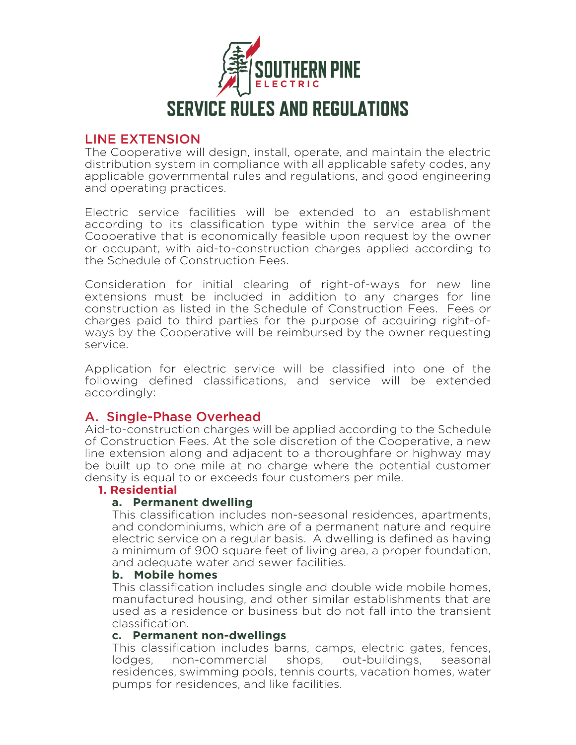

# LINE EXTENSION

The Cooperative will design, install, operate, and maintain the electric distribution system in compliance with all applicable safety codes, any applicable governmental rules and regulations, and good engineering and operating practices.

Electric service facilities will be extended to an establishment according to its classification type within the service area of the Cooperative that is economically feasible upon request by the owner or occupant, with aid-to-construction charges applied according to the Schedule of Construction Fees.

Consideration for initial clearing of right-of-ways for new line extensions must be included in addition to any charges for line construction as listed in the Schedule of Construction Fees. Fees or charges paid to third parties for the purpose of acquiring right-ofways by the Cooperative will be reimbursed by the owner requesting service.

Application for electric service will be classified into one of the following defined classifications, and service will be extended accordingly:

# A. Single-Phase Overhead

Aid-to-construction charges will be applied according to the Schedule of Construction Fees. At the sole discretion of the Cooperative, a new line extension along and adjacent to a thoroughfare or highway may be built up to one mile at no charge where the potential customer density is equal to or exceeds four customers per mile.

#### **1. Residential**

#### **a. Permanent dwelling**

This classification includes non-seasonal residences, apartments, and condominiums, which are of a permanent nature and require electric service on a regular basis. A dwelling is defined as having a minimum of 900 square feet of living area, a proper foundation, and adequate water and sewer facilities.

#### **b. Mobile homes**

This classification includes single and double wide mobile homes, manufactured housing, and other similar establishments that are used as a residence or business but do not fall into the transient classification.

#### **c. Permanent non-dwellings**

This classification includes barns, camps, electric gates, fences, lodges, non-commercial shops, out-buildings, seasonal residences, swimming pools, tennis courts, vacation homes, water pumps for residences, and like facilities.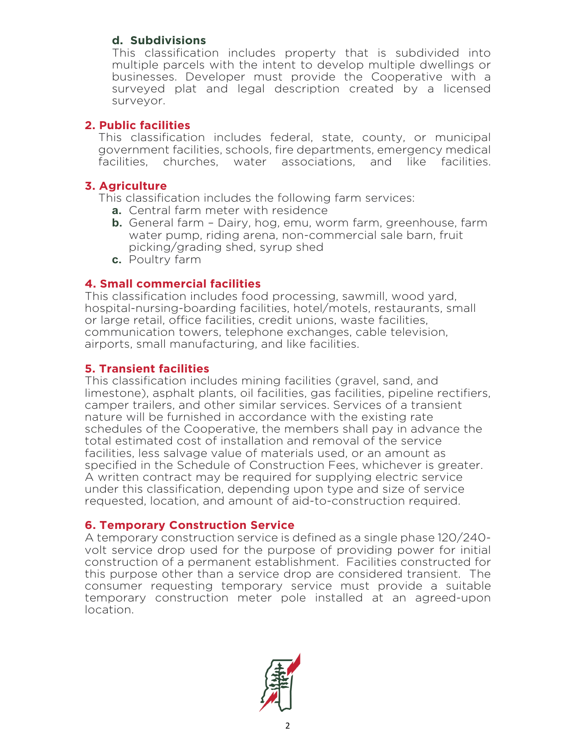# **d. Subdivisions**

This classification includes property that is subdivided into multiple parcels with the intent to develop multiple dwellings or businesses. Developer must provide the Cooperative with a surveyed plat and legal description created by a licensed surveyor.

# **2. Public facilities**

This classification includes federal, state, county, or municipal government facilities, schools, fire departments, emergency medical facilities, churches, water associations, and like facilities.

# **3. Agriculture**

This classification includes the following farm services:

- **a.** Central farm meter with residence
- **b.** General farm Dairy, hog, emu, worm farm, greenhouse, farm water pump, riding arena, non-commercial sale barn, fruit picking/grading shed, syrup shed
- **c.** Poultry farm

# **4. Small commercial facilities**

This classification includes food processing, sawmill, wood yard, hospital-nursing-boarding facilities, hotel/motels, restaurants, small or large retail, office facilities, credit unions, waste facilities, communication towers, telephone exchanges, cable television, airports, small manufacturing, and like facilities.

# **5. Transient facilities**

This classification includes mining facilities (gravel, sand, and limestone), asphalt plants, oil facilities, gas facilities, pipeline rectifiers, camper trailers, and other similar services. Services of a transient nature will be furnished in accordance with the existing rate schedules of the Cooperative, the members shall pay in advance the total estimated cost of installation and removal of the service facilities, less salvage value of materials used, or an amount as specified in the Schedule of Construction Fees, whichever is greater. A written contract may be required for supplying electric service under this classification, depending upon type and size of service requested, location, and amount of aid-to-construction required.

# **6. Temporary Construction Service**

A temporary construction service is defined as a single phase 120/240 volt service drop used for the purpose of providing power for initial construction of a permanent establishment. Facilities constructed for this purpose other than a service drop are considered transient. The consumer requesting temporary service must provide a suitable temporary construction meter pole installed at an agreed-upon location.

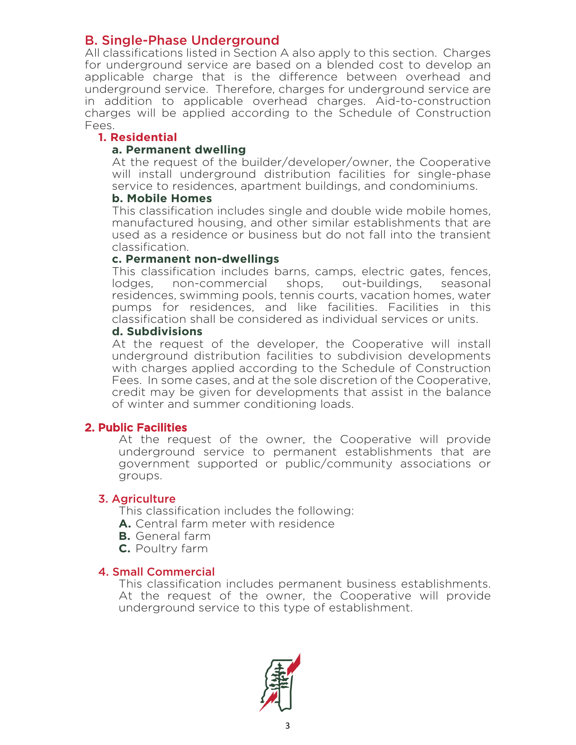# B. Single-Phase Underground

All classifications listed in Section A also apply to this section. Charges for underground service are based on a blended cost to develop an applicable charge that is the difference between overhead and underground service. Therefore, charges for underground service are in addition to applicable overhead charges. Aid-to-construction charges will be applied according to the Schedule of Construction Fees.

#### **1. Residential**

#### **a. Permanent dwelling**

At the request of the builder/developer/owner, the Cooperative will install underground distribution facilities for single-phase service to residences, apartment buildings, and condominiums.

#### **b. Mobile Homes**

This classification includes single and double wide mobile homes, manufactured housing, and other similar establishments that are used as a residence or business but do not fall into the transient classification.

#### **c. Permanent non-dwellings**

This classification includes barns, camps, electric gates, fences, lodges. non-commercial shops, out-buildings, seasonal lodges, non-commercial shops, out-buildings, seasonal residences, swimming pools, tennis courts, vacation homes, water pumps for residences, and like facilities. Facilities in this classification shall be considered as individual services or units.

#### **d. Subdivisions**

At the request of the developer, the Cooperative will install underground distribution facilities to subdivision developments with charges applied according to the Schedule of Construction Fees. In some cases, and at the sole discretion of the Cooperative, credit may be given for developments that assist in the balance of winter and summer conditioning loads.

#### 2. Public Facilities

At the request of the owner, the Cooperative will provide underground service to permanent establishments that are government supported or public/community associations or groups.

#### 3. Agriculture

This classification includes the following:

- **A.** Central farm meter with residence
- **B.** General farm
- **C.** Poultry farm

# 4. Small Commercial

This classification includes permanent business establishments. At the request of the owner, the Cooperative will provide underground service to this type of establishment.

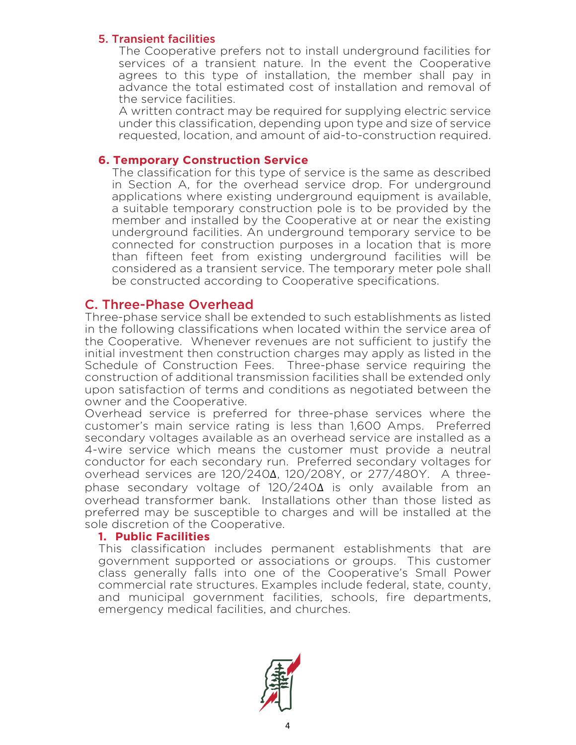#### 5. Transient facilities

The Cooperative prefers not to install underground facilities for services of a transient nature. In the event the Cooperative agrees to this type of installation, the member shall pay in advance the total estimated cost of installation and removal of the service facilities.

A written contract may be required for supplying electric service under this classification, depending upon type and size of service requested, location, and amount of aid-to-construction required.

#### **6. Temporary Construction Service**

The classification for this type of service is the same as described in Section A, for the overhead service drop. For underground applications where existing underground equipment is available, a suitable temporary construction pole is to be provided by the member and installed by the Cooperative at or near the existing underground facilities. An underground temporary service to be connected for construction purposes in a location that is more than fifteen feet from existing underground facilities will be considered as a transient service. The temporary meter pole shall be constructed according to Cooperative specifications.

#### C. Three-Phase Overhead

Three-phase service shall be extended to such establishments as listed in the following classifications when located within the service area of the Cooperative. Whenever revenues are not sufficient to justify the initial investment then construction charges may apply as listed in the Schedule of Construction Fees. Three-phase service requiring the construction of additional transmission facilities shall be extended only upon satisfaction of terms and conditions as negotiated between the owner and the Cooperative.

Overhead service is preferred for three-phase services where the customer's main service rating is less than 1,600 Amps. Preferred secondary voltages available as an overhead service are installed as a 4-wire service which means the customer must provide a neutral conductor for each secondary run. Preferred secondary voltages for overhead services are 120/240∆, 120/208Y, or 277/480Y. A threephase secondary voltage of 120/240∆ is only available from an overhead transformer bank. Installations other than those listed as preferred may be susceptible to charges and will be installed at the sole discretion of the Cooperative.

#### **1. Public Facilities**

This classification includes permanent establishments that are government supported or associations or groups. This customer class generally falls into one of the Cooperative's Small Power commercial rate structures. Examples include federal, state, county, and municipal government facilities, schools, fire departments, emergency medical facilities, and churches.

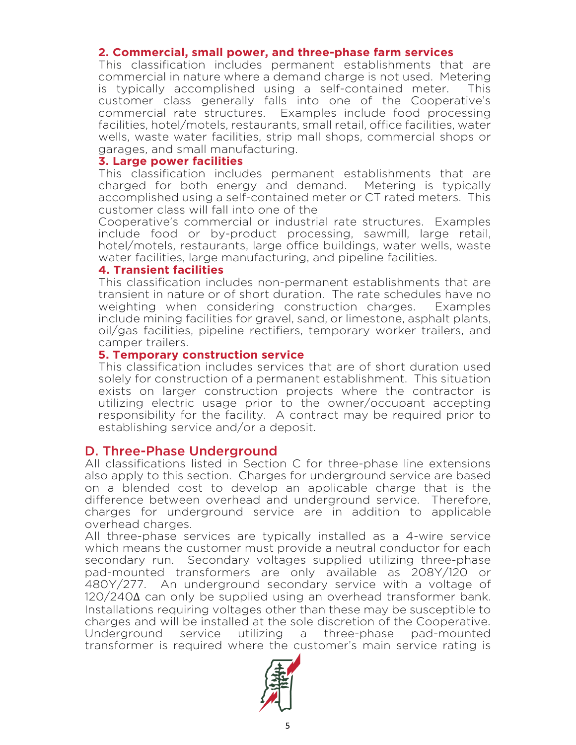#### **2. Commercial, small power, and three-phase farm services**

This classification includes permanent establishments that are commercial in nature where a demand charge is not used. Metering is typically accomplished using a self-contained meter. This customer class generally falls into one of the Cooperative's commercial rate structures. Examples include food processing facilities, hotel/motels, restaurants, small retail, office facilities, water wells, waste water facilities, strip mall shops, commercial shops or garages, and small manufacturing.

#### **3. Large power facilities**

This classification includes permanent establishments that are charged for both energy and demand. Metering is typically accomplished using a self-contained meter or CT rated meters. This customer class will fall into one of the

Cooperative's commercial or industrial rate structures. Examples include food or by-product processing, sawmill, large retail, hotel/motels, restaurants, large office buildings, water wells, waste water facilities, large manufacturing, and pipeline facilities.

#### **4. Transient facilities**

This classification includes non-permanent establishments that are transient in nature or of short duration. The rate schedules have no weighting when considering construction charges. Examples include mining facilities for gravel, sand, or limestone, asphalt plants, oil/gas facilities, pipeline rectifiers, temporary worker trailers, and camper trailers.

#### **5. Temporary construction service**

This classification includes services that are of short duration used solely for construction of a permanent establishment. This situation exists on larger construction projects where the contractor is utilizing electric usage prior to the owner/occupant accepting responsibility for the facility. A contract may be required prior to establishing service and/or a deposit.

#### D. Three-Phase Underground

All classifications listed in Section C for three-phase line extensions also apply to this section. Charges for underground service are based on a blended cost to develop an applicable charge that is the difference between overhead and underground service. Therefore, charges for underground service are in addition to applicable overhead charges.

All three-phase services are typically installed as a 4-wire service which means the customer must provide a neutral conductor for each secondary run. Secondary voltages supplied utilizing three-phase pad-mounted transformers are only available as 208Y/120 or 480Y/277. An underground secondary service with a voltage of 120/240∆ can only be supplied using an overhead transformer bank. Installations requiring voltages other than these may be susceptible to charges and will be installed at the sole discretion of the Cooperative. Underground service utilizing a three-phase pad-mounted transformer is required where the customer's main service rating is

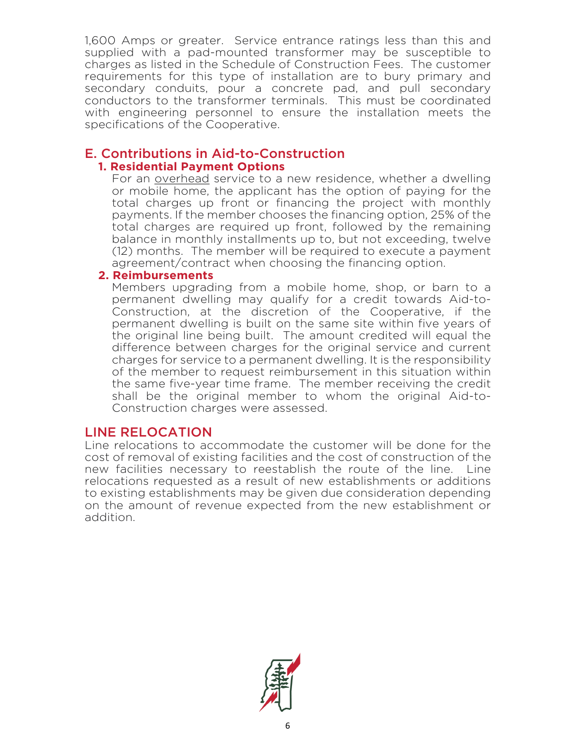1,600 Amps or greater. Service entrance ratings less than this and supplied with a pad-mounted transformer may be susceptible to charges as listed in the Schedule of Construction Fees. The customer requirements for this type of installation are to bury primary and secondary conduits, pour a concrete pad, and pull secondary conductors to the transformer terminals. This must be coordinated with engineering personnel to ensure the installation meets the specifications of the Cooperative.

# E. Contributions in Aid-to-Construction

# **1. Residential Payment Options**

For an overhead service to a new residence, whether a dwelling or mobile home, the applicant has the option of paying for the total charges up front or financing the project with monthly payments. If the member chooses the financing option, 25% of the total charges are required up front, followed by the remaining balance in monthly installments up to, but not exceeding, twelve (12) months. The member will be required to execute a payment agreement/contract when choosing the financing option.

#### **2. Reimbursements**

Members upgrading from a mobile home, shop, or barn to a permanent dwelling may qualify for a credit towards Aid-to-Construction, at the discretion of the Cooperative, if the permanent dwelling is built on the same site within five years of the original line being built. The amount credited will equal the difference between charges for the original service and current charges for service to a permanent dwelling. It is the responsibility of the member to request reimbursement in this situation within the same five-year time frame. The member receiving the credit shall be the original member to whom the original Aid-to-Construction charges were assessed.

# LINE RELOCATION

Line relocations to accommodate the customer will be done for the cost of removal of existing facilities and the cost of construction of the new facilities necessary to reestablish the route of the line. Line relocations requested as a result of new establishments or additions to existing establishments may be given due consideration depending on the amount of revenue expected from the new establishment or addition.

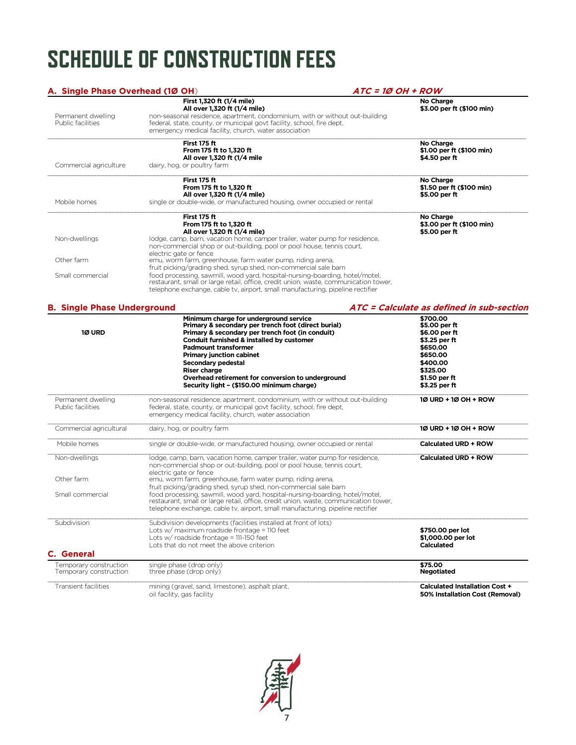# **SCHEDULE OF CONSTRUCTION FEES**

| A. Single Phase Overhead (1Ø OH)        | ATC = 1Ø OH + ROW                                                                                                                                                      |                                           |
|-----------------------------------------|------------------------------------------------------------------------------------------------------------------------------------------------------------------------|-------------------------------------------|
|                                         | First 1,320 ft (1/4 mile)                                                                                                                                              | No Charge                                 |
| Permanent dwelling                      | All over 1,320 ft (1/4 mile)<br>non-seasonal residence, apartment, condominium, with or without out-building                                                           | \$3.00 per ft (\$100 min)                 |
| Public facilities                       | federal, state, county, or municipal govt facility, school, fire dept,                                                                                                 |                                           |
|                                         | emergency medical facility, church, water association                                                                                                                  |                                           |
|                                         | First 175 ft                                                                                                                                                           | No Charge                                 |
|                                         | From 175 ft to 1,320 ft                                                                                                                                                | \$1.00 per ft (\$100 min)                 |
|                                         | All over 1,320 ft (1/4 mile                                                                                                                                            | \$4.50 per ft                             |
| Commercial agriculture                  | dairy, hog, or poultry farm                                                                                                                                            |                                           |
|                                         | First 175 ft                                                                                                                                                           | No Charge                                 |
|                                         | From 175 ft to 1,320 ft                                                                                                                                                | \$1.50 per ft (\$100 min)                 |
|                                         | All over 1,320 ft (1/4 mile)                                                                                                                                           | \$5.00 per ft                             |
| Mobile homes                            | single or double-wide, or manufactured housing, owner occupied or rental                                                                                               |                                           |
|                                         | First 175 ft                                                                                                                                                           | No Charge                                 |
|                                         | From 175 ft to 1.320 ft                                                                                                                                                | \$3.00 per ft (\$100 min)                 |
|                                         | All over 1,320 ft (1/4 mile)                                                                                                                                           | \$5.00 per ft                             |
| Non-dwellings                           | lodge, camp, barn, vacation home, camper trailer, water pump for residence,                                                                                            |                                           |
|                                         | non-commercial shop or out-building, pool or pool house, tennis court,                                                                                                 |                                           |
|                                         | electric gate or fence                                                                                                                                                 |                                           |
| Other farm                              | emu, worm farm, greenhouse, farm water pump, riding arena,                                                                                                             |                                           |
|                                         | fruit picking/grading shed, syrup shed, non-commercial sale barn                                                                                                       |                                           |
| Small commercial                        | food processing, sawmill, wood yard, hospital-nursing-boarding, hotel/motel,                                                                                           |                                           |
|                                         | restaurant, small or large retail, office, credit union, waste, communication tower,                                                                                   |                                           |
|                                         | telephone exchange, cable tv, airport, small manufacturing, pipeline rectifier                                                                                         |                                           |
| <b>B. Single Phase Underground</b>      |                                                                                                                                                                        | ATC = Calculate as defined in sub-section |
|                                         | Minimum charge for underground service                                                                                                                                 | \$700.00                                  |
|                                         | Primary & secondary per trench foot (direct burial)                                                                                                                    | \$5.00 per ft                             |
| 1Ø URD                                  | Primary & secondary per trench foot (in conduit)                                                                                                                       | \$6.00 per ft                             |
|                                         | Conduit furnished & installed by customer                                                                                                                              | \$3.25 per ft                             |
|                                         | <b>Padmount transformer</b>                                                                                                                                            | \$650.00                                  |
|                                         | <b>Primary junction cabinet</b>                                                                                                                                        | \$650,00                                  |
|                                         | <b>Secondary pedestal</b>                                                                                                                                              | \$400.00                                  |
|                                         | <b>Riser charge</b>                                                                                                                                                    | \$325,00                                  |
|                                         | Overhead retirement for conversion to underground<br>Security light - (\$150.00 minimum charge)                                                                        | \$1.50 per ft<br>\$3.25 per ft            |
|                                         | non-seasonal residence, apartment, condominium, with or without out-building                                                                                           | 10 URD + 10 OH + ROW                      |
| Permanent dwelling<br>Public facilities | federal, state, county, or municipal govt facility, school, fire dept,                                                                                                 |                                           |
|                                         | emergency medical facility, church, water association                                                                                                                  |                                           |
|                                         |                                                                                                                                                                        |                                           |
| Commercial agricultural                 | dairy, hog, or poultry farm                                                                                                                                            | 10 URD + 10 OH + ROW                      |
| Mobile homes                            | single or double-wide, or manufactured housing, owner occupied or rental                                                                                               | Calculated URD + ROW                      |
| Non-dwellings                           | lodge, camp, barn, vacation home, camper trailer, water pump for residence,                                                                                            | Calculated URD + ROW                      |
|                                         | non-commercial shop or out-building, pool or pool house, tennis court,                                                                                                 |                                           |
|                                         | electric gate or fence                                                                                                                                                 |                                           |
| Other farm                              | emu, worm farm, greenhouse, farm water pump, riding arena,                                                                                                             |                                           |
|                                         | fruit picking/grading shed, syrup shed, non-commercial sale barn                                                                                                       |                                           |
| Small commercial                        | food processing, sawmill, wood yard, hospital-nursing-boarding, hotel/motel,                                                                                           |                                           |
|                                         | restaurant, small or large retail, office, credit union, waste, communication tower,<br>telephone exchange, cable tv, airport, small manufacturing, pipeline rectifier |                                           |
| Subdivision                             | Subdivision developments (facilities installed at front of lots)                                                                                                       |                                           |
|                                         | Lots w/ maximum roadside frontage = 110 feet                                                                                                                           | \$750.00 per lot                          |
|                                         | Lots w/ roadside frontage = 111-150 feet                                                                                                                               | \$1,000.00 per lot                        |
|                                         |                                                                                                                                                                        |                                           |
|                                         | Lots that do not meet the above criterion                                                                                                                              | <b>Calculated</b>                         |

| C. General                                       |                                                                                |                                                                   |  |  |
|--------------------------------------------------|--------------------------------------------------------------------------------|-------------------------------------------------------------------|--|--|
| Temporary construction<br>Temporary construction | single phase (drop only)<br>three phase (drop only)                            | \$75.00<br>Negotiated                                             |  |  |
| Transient facilities                             | mining (gravel, sand, limestone), asphalt plant,<br>oil facility, gas facility | Calculated Installation Cost +<br>50% Installation Cost (Removal) |  |  |